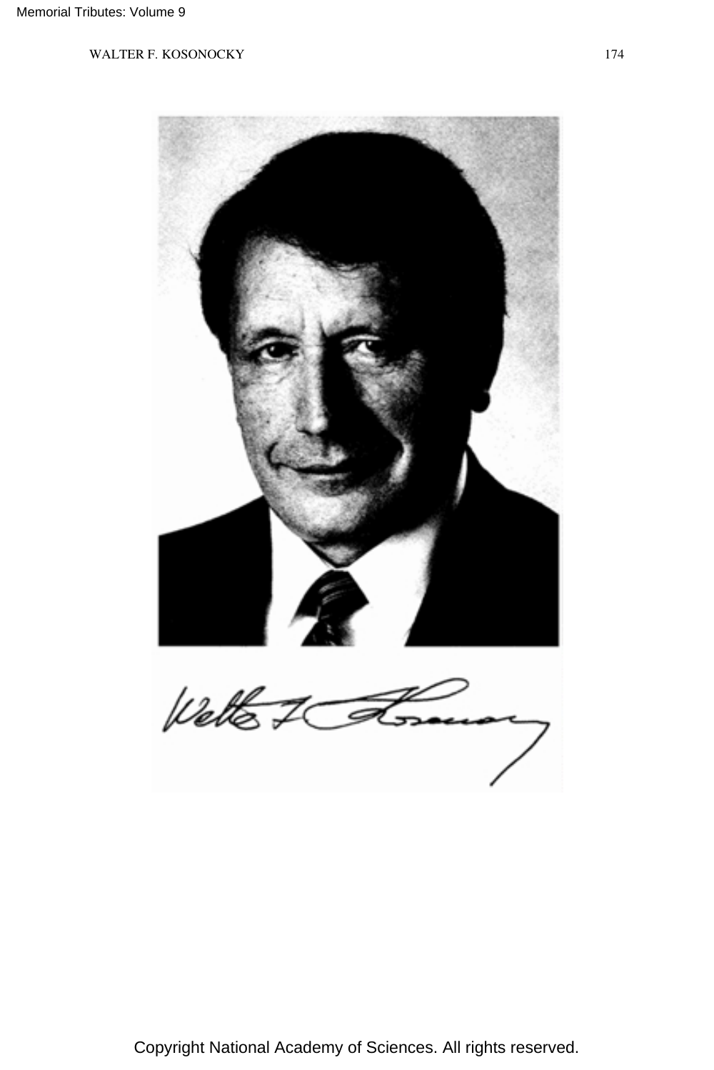## WALTER F. KOSONOCKY 174



Copyright National Academy of Sciences. All rights reserved.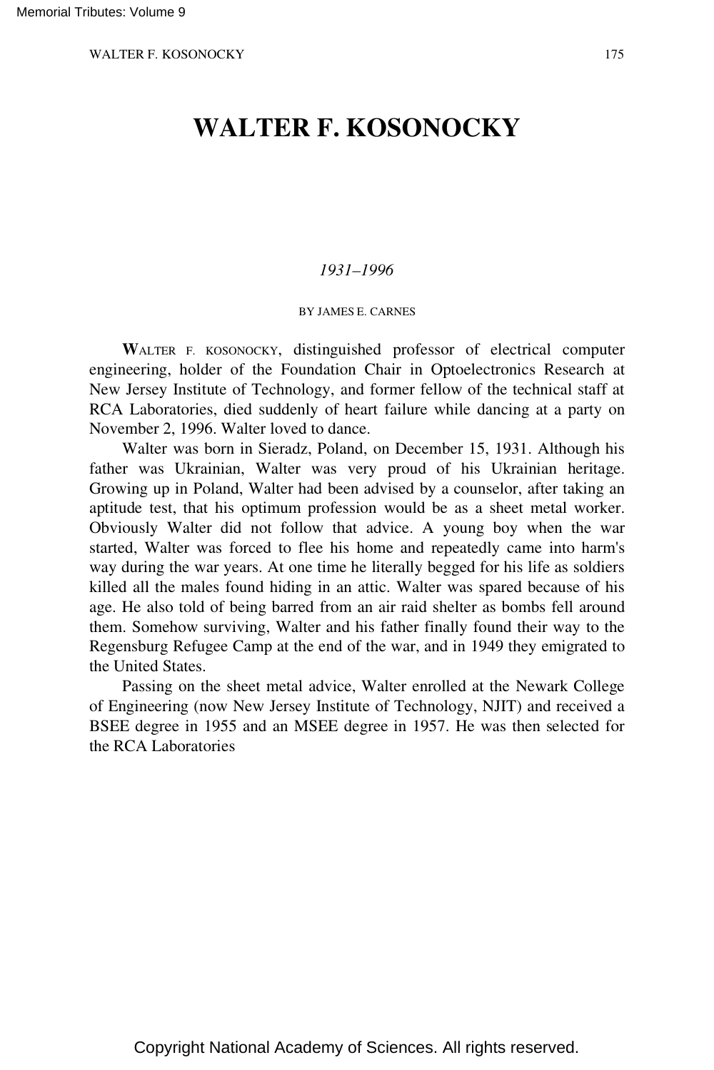WALTER F. KOSONOCKY 175

## **WALTER F. KOSONOCKY**

## *1931–1996*

BY JAMES E. CARNES

**W**ALTER F. KOSONOCKY, distinguished professor of electrical computer engineering, holder of the Foundation Chair in Optoelectronics Research at New Jersey Institute of Technology, and former fellow of the technical staff at RCA Laboratories, died suddenly of heart failure while dancing at a party on November 2, 1996. Walter loved to dance.

Walter was born in Sieradz, Poland, on December 15, 1931. Although his father was Ukrainian, Walter was very proud of his Ukrainian heritage. Growing up in Poland, Walter had been advised by a counselor, after taking an aptitude test, that his optimum profession would be as a sheet metal worker. Obviously Walter did not follow that advice. A young boy when the war started, Walter was forced to flee his home and repeatedly came into harm's way during the war years. At one time he literally begged for his life as soldiers killed all the males found hiding in an attic. Walter was spared because of his age. He also told of being barred from an air raid shelter as bombs fell around them. Somehow surviving, Walter and his father finally found their way to the Regensburg Refugee Camp at the end of the war, and in 1949 they emigrated to the United States.

Passing on the sheet metal advice, Walter enrolled at the Newark College of Engineering (now New Jersey Institute of Technology, NJIT) and received a BSEE degree in 1955 and an MSEE degree in 1957. He was then selected for the RCA Laboratories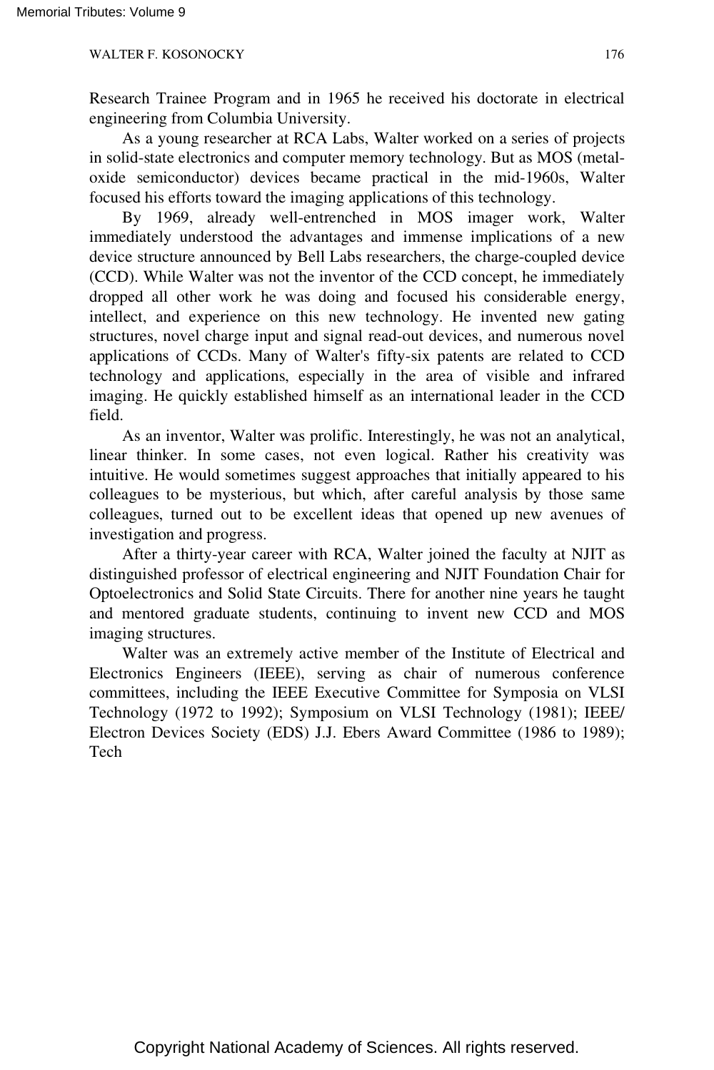Research Trainee Program and in 1965 he received his doctorate in electrical engineering from Columbia University.

As a young researcher at RCA Labs, Walter worked on a series of projects in solid-state electronics and computer memory technology. But as MOS (metaloxide semiconductor) devices became practical in the mid-1960s, Walter focused his efforts toward the imaging applications of this technology.

By 1969, already well-entrenched in MOS imager work, Walter immediately understood the advantages and immense implications of a new device structure announced by Bell Labs researchers, the charge-coupled device (CCD). While Walter was not the inventor of the CCD concept, he immediately dropped all other work he was doing and focused his considerable energy, intellect, and experience on this new technology. He invented new gating structures, novel charge input and signal read-out devices, and numerous novel applications of CCDs. Many of Walter's fifty-six patents are related to CCD technology and applications, especially in the area of visible and infrared imaging. He quickly established himself as an international leader in the CCD field.

As an inventor, Walter was prolific. Interestingly, he was not an analytical, linear thinker. In some cases, not even logical. Rather his creativity was intuitive. He would sometimes suggest approaches that initially appeared to his colleagues to be mysterious, but which, after careful analysis by those same colleagues, turned out to be excellent ideas that opened up new avenues of investigation and progress.

After a thirty-year career with RCA, Walter joined the faculty at NJIT as distinguished professor of electrical engineering and NJIT Foundation Chair for Optoelectronics and Solid State Circuits. There for another nine years he taught and mentored graduate students, continuing to invent new CCD and MOS imaging structures.

Walter was an extremely active member of the Institute of Electrical and Electronics Engineers (IEEE), serving as chair of numerous conference committees, including the IEEE Executive Committee for Symposia on VLSI Technology (1972 to 1992); Symposium on VLSI Technology (1981); IEEE/ Electron Devices Society (EDS) J.J. Ebers Award Committee (1986 to 1989); Tech